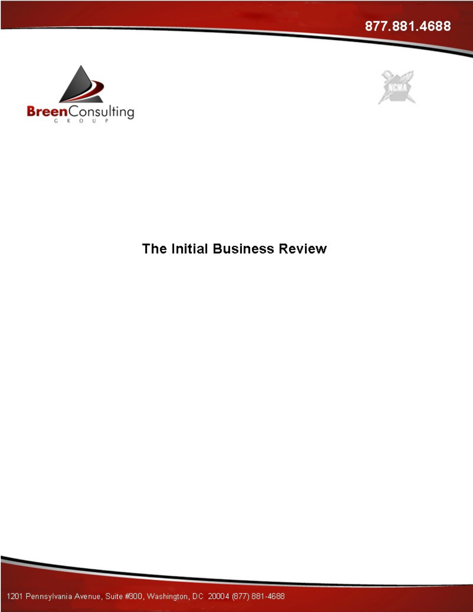





**The Initial Business Review**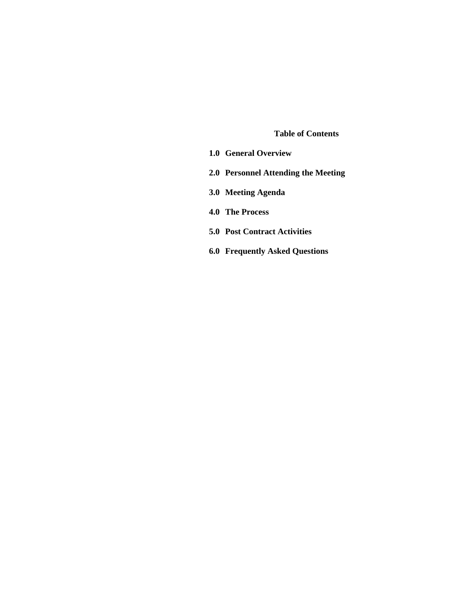#### **Table of Contents**

- **1.0 General Overview**
- **2.0 Personnel Attending the Meeting**
- **3.0 Meeting Agenda**
- **4.0 The Process**
- **5.0 Post Contract Activities**
- **6.0 Frequently Asked Questions**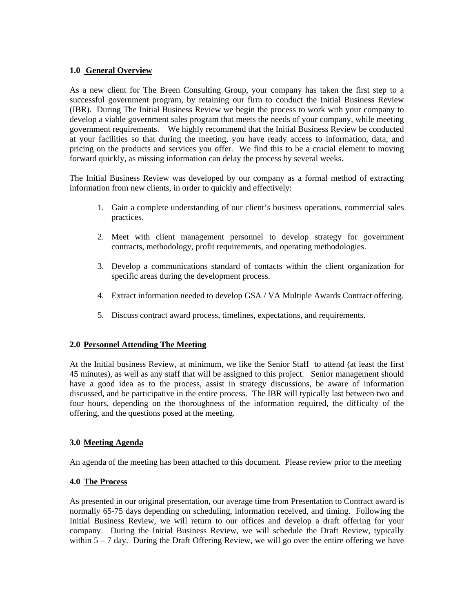## **1.0 General Overview**

As a new client for The Breen Consulting Group, your company has taken the first step to a successful government program, by retaining our firm to conduct the Initial Business Review (IBR). During The Initial Business Review we begin the processto work with your company to develop a viable government sales program that meets the needs of your company, while meeting government requirements. We highly recommend that the Initial Business Review be conducted at your facilities so that during the meeting, you have ready access to information, data, and pricing on the products and services you offer. We find this to be a crucial element to moving forward quickly, as missing information can delay the process by several weeks.

The Initial Business Review was developed by our company as a formal method of extracting information from new clients, in order to quickly and effectively:

- 1. Gain a complete understanding of our client's business operations, commercial sales practices.
- 2. Meet with client management personnel to develop strategy for government contracts, methodology, profit requirements, and operating methodologies.
- 3. Develop a communications standard of contacts within the client organization for specific areas during the development process.
- 4. Extract information needed to develop GSA / VA Multiple Awards Contract offering.
- 5. Discuss contract award process, timelines, expectations, and requirements.

### **2.0 Personnel Attending The Meeting**

At the Initial business Review, at minimum, we like the Senior Staff to attend (at least the first 45 minutes), as well as any staff that will be assigned to this project. Senior management should have a good idea as to the process, assist in strategy discussions, be aware of information discussed, and be participative in the entire process. The IBR will typically last between two and four hours, depending on the thoroughness of the information required, the difficulty of the offering, and the questions posed at the meeting.

### **3.0 Meeting Agenda**

An agenda of the meeting has been attached to this document. Please review prior to the meeting

### **4.0 The Process**

As presented in our original presentation, our average time from Presentation to Contract award is normally 65-75 days depending on scheduling, information received, and timing. Following the Initial Business Review, we will return to our offices and develop a draft offering for your company. During the Initial Business Review, we will schedule the Draft Review, typically within  $5 - 7$  day. During the Draft Offering Review, we will go over the entire offering we have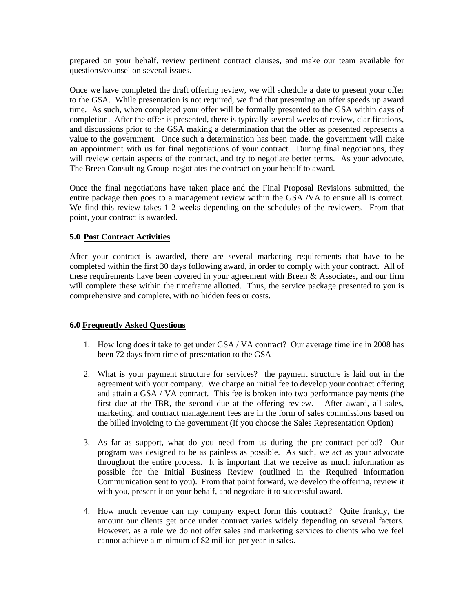prepared on your behalf, review pertinent contract clauses, and make our team available for questions/counsel on several issues.

Once we have completed the draft offering review, we will schedulea date to present your offer to the GSA. While presentation is not required, we find that presenting an offer speeds up award time. As such, when completed your offer will be formally presented to the GSA within days of completion. After the offer is presented, there is typically several weeks of review, clarifications, and discussions prior to the GSA making a determination that the offer as presented represents a value to the government. Once such a determination has been made, the government will make an appointment with us for final negotiations of your contract. During final negotiations, they will review certain aspects of the contract, and try to negotiate better terms. As your advocate, The Breen Consulting Group negotiates the contract on your behalf to award.

Once the final negotiations have taken place and the Final Proposal Revisions submitted, the entire package then goes to a management review within the GSA /VA to ensure all is correct. We find this review takes 1-2 weeks depending on the schedules of the reviewers. From that point, your contract is awarded.

# **5.0 Post Contract Activities**

After your contract is awarded, there are several marketing requirements that have to be completed within the first 30 days following award, in order to comply with your contract. All of these requirements have been covered in your agreement with Breen & Associates, and our firm will complete these within the timeframe allotted. Thus, the service package presented to you is comprehensive and complete, with no hidden fees or costs.

### **6.0 Frequently Asked Questions**

- 1. How long does it take to get under GSA / VA contract? Our average timeline in 2008 has been 72 days from time of presentation to the GSA
- 2. What is your payment structure for services? the payment structure is laid out in the agreement with your company. We charge an initial fee to develop your contract offering and attain a GSA / VA contract. This fee is broken into two performance payments (the first due at the IBR, the second due at the offering review. After award, all sales, marketing, and contract management fees are in the form of sales commissions based on the billed invoicing to the government (If you choose the Sales Representation Option)
- 3. As far as support, what do you need from us during the pre-contract period? Our program was designed to be as painless as possible. As such, we act as youradvocate throughout the entire process. It is important that we receive as much information as possible for the Initial Business Review (outlined in the Required Information Communication sent to you). From that point forward, we develop the offering, review it
- with you, present it on your behalf, and negotiate it to successful award.<br>4. How much revenue can my company expect form this contract? Quite frankly, the amount our clients get once under contract varies widely depending on several factors. However, as a rule we do not offer sales and marketing services to clients who we feel cannot achieve a minimum of \$2 million per year in sales.